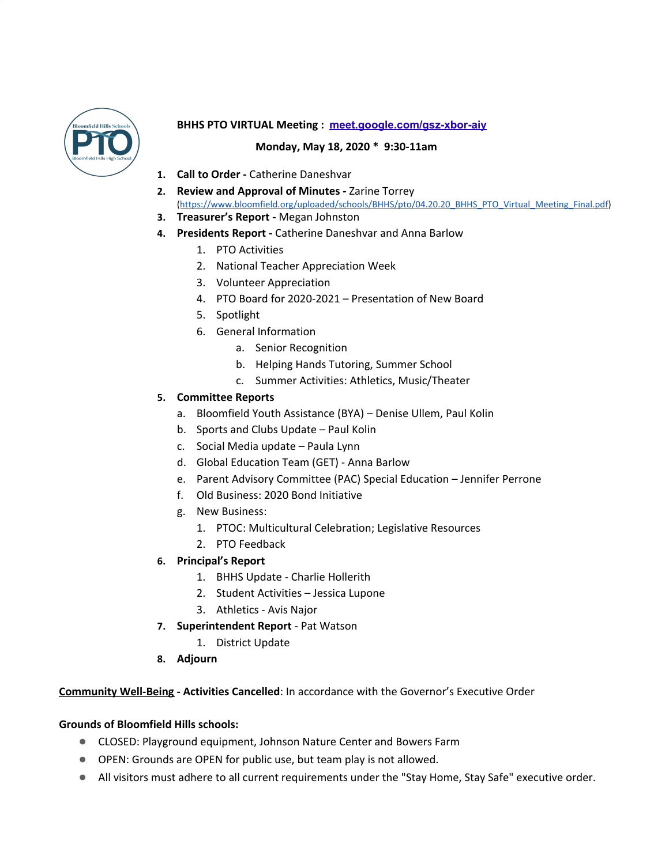

# **BHHS PTO VIRTUAL Meeting : [meet.google.com/gsz-xbor-aiy](https://meet.google.com/gsz-xbor-aiy)**

## **Monday, May 18, 2020 \* 9:30-11am**

- **1. Call to Order -** Catherine Daneshvar
- **2. Review and Approval of Minutes -** Zarine Torrey ([https://www.bloomfield.org/uploaded/schools/BHHS/pto/04.20.20\\_BHHS\\_PTO\\_Virtual\\_Meeting\\_Final.pdf](https://www.bloomfield.org/uploaded/schools/BHHS/pto/04.20.20_BHHS_PTO_Virtual_Meeting_Final.pdf))
- **3. Treasurer's Report -** Megan Johnston
- **4. Presidents Report -** Catherine Daneshvar and Anna Barlow
	- 1. PTO Activities
	- 2. National Teacher Appreciation Week
	- 3. Volunteer Appreciation
	- 4. PTO Board for 2020-2021 Presentation of New Board
	- 5. Spotlight
	- 6. General Information
		- a. Senior Recognition
		- b. Helping Hands Tutoring, Summer School
		- c. Summer Activities: Athletics, Music/Theater

# **5. Committee Reports**

- a. Bloomfield Youth Assistance (BYA) Denise Ullem, Paul Kolin
- b. Sports and Clubs Update Paul Kolin
- c. Social Media update Paula Lynn
- d. Global Education Team (GET) Anna Barlow
- e. Parent Advisory Committee (PAC) Special Education Jennifer Perrone
- f. Old Business: 2020 Bond Initiative
- g. New Business:
	- 1. PTOC: Multicultural Celebration; Legislative Resources
	- 2. PTO Feedback
- **6. Principal's Report**
	- 1. BHHS Update Charlie Hollerith
	- 2. Student Activities Jessica Lupone
	- 3. Athletics Avis Najor
- **7. Superintendent Report** Pat Watson
	- 1. District Update
- **8. Adjourn**

### **Community Well-Being - Activities Cancelled**: In accordance with the Governor's Executive Order

### **Grounds of Bloomfield Hills schools:**

- CLOSED: Playground equipment, Johnson Nature Center and Bowers Farm
- OPEN: Grounds are OPEN for public use, but team play is not allowed.
- All visitors must adhere to all current requirements under the "Stay Home, Stay Safe" executive order.